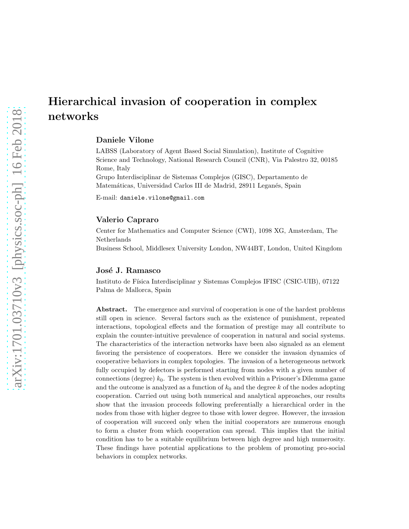# Hierarchical invasion of cooperation in complex networks

# Daniele Vilone

LABSS (Laboratory of Agent Based Social Simulation), Institute of Cognitive Science and Technology, National Research Council (CNR), Via Palestro 32, 00185 Rome, Italy

Grupo Interdisciplinar de Sistemas Complejos (GISC), Departamento de Matemáticas, Universidad Carlos III de Madrid, 28911 Leganés, Spain

E-mail: daniele.vilone@gmail.com

#### Valerio Capraro

Center for Mathematics and Computer Science (CWI), 1098 XG, Amsterdam, The Netherlands Business School, Middlesex University London, NW44BT, London, United Kingdom

#### José J. Ramasco

Instituto de Física Interdisciplinar y Sistemas Complejos IFISC (CSIC-UIB), 07122 Palma de Mallorca, Spain

Abstract. The emergence and survival of cooperation is one of the hardest problems still open in science. Several factors such as the existence of punishment, repeated interactions, topological effects and the formation of prestige may all contribute to explain the counter-intuitive prevalence of cooperation in natural and social systems. The characteristics of the interaction networks have been also signaled as an element favoring the persistence of cooperators. Here we consider the invasion dynamics of cooperative behaviors in complex topologies. The invasion of a heterogeneous network fully occupied by defectors is performed starting from nodes with a given number of connections (degree)  $k_0$ . The system is then evolved within a Prisoner's Dilemma game and the outcome is analyzed as a function of  $k_0$  and the degree k of the nodes adopting cooperation. Carried out using both numerical and analytical approaches, our results show that the invasion proceeds following preferentially a hierarchical order in the nodes from those with higher degree to those with lower degree. However, the invasion of cooperation will succeed only when the initial cooperators are numerous enough to form a cluster from which cooperation can spread. This implies that the initial condition has to be a suitable equilibrium between high degree and high numerosity. These findings have potential applications to the problem of promoting pro-social behaviors in complex networks.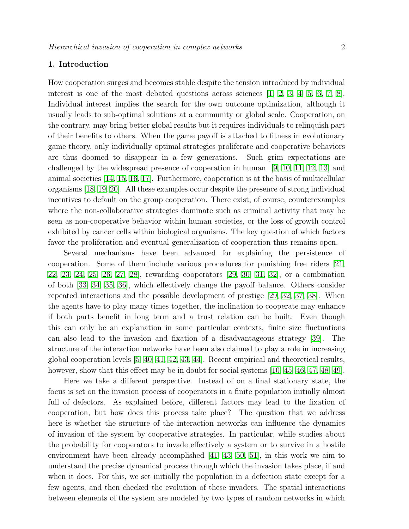# 1. Introduction

How cooperation surges and becomes stable despite the tension introduced by individual interest is one of the most debated questions across sciences  $[1, 2, 3, 4, 5, 6, 7, 8]$  $[1, 2, 3, 4, 5, 6, 7, 8]$  $[1, 2, 3, 4, 5, 6, 7, 8]$  $[1, 2, 3, 4, 5, 6, 7, 8]$  $[1, 2, 3, 4, 5, 6, 7, 8]$  $[1, 2, 3, 4, 5, 6, 7, 8]$  $[1, 2, 3, 4, 5, 6, 7, 8]$  $[1, 2, 3, 4, 5, 6, 7, 8]$ . Individual interest implies the search for the own outcome optimization, although it usually leads to sub-optimal solutions at a community or global scale. Cooperation, on the contrary, may bring better global results but it requires individuals to relinquish part of their benefits to others. When the game payoff is attached to fitness in evolutionary game theory, only individually optimal strategies proliferate and cooperative behaviors are thus doomed to disappear in a few generations. Such grim expectations are challenged by the widespread presence of cooperation in human [\[9,](#page-18-8) [10,](#page-18-9) [11,](#page-18-10) [12,](#page-18-11) [13\]](#page-18-12) and animal societies [\[14,](#page-18-13) [15,](#page-18-14) [16,](#page-18-15) [17\]](#page-18-16). Furthermore, cooperation is at the basis of multicellular organisms [\[18,](#page-18-17) [19,](#page-18-18) [20\]](#page-19-0). All these examples occur despite the presence of strong individual incentives to default on the group cooperation. There exist, of course, counterexamples where the non-collaborative strategies dominate such as criminal activity that may be seen as non-cooperative behavior within human societies, or the loss of growth control exhibited by cancer cells within biological organisms. The key question of which factors favor the proliferation and eventual generalization of cooperation thus remains open.

Several mechanisms have been advanced for explaining the persistence of cooperation. Some of them include various procedures for punishing free riders [\[21,](#page-19-1) [22,](#page-19-2) [23,](#page-19-3) [24,](#page-19-4) [25,](#page-19-5) [26,](#page-19-6) [27,](#page-19-7) [28\]](#page-19-8), rewarding cooperators [\[29,](#page-19-9) [30,](#page-19-10) [31,](#page-19-11) [32\]](#page-19-12), or a combination of both [\[33,](#page-19-13) [34,](#page-19-14) [35,](#page-19-15) [36\]](#page-19-16), which effectively change the payoff balance. Others consider repeated interactions and the possible development of prestige [\[29,](#page-19-9) [32,](#page-19-12) [37,](#page-19-17) [38\]](#page-19-18). When the agents have to play many times together, the inclination to cooperate may enhance if both parts benefit in long term and a trust relation can be built. Even though this can only be an explanation in some particular contexts, finite size fluctuations can also lead to the invasion and fixation of a disadvantageous strategy [\[39\]](#page-19-19). The structure of the interaction networks have been also claimed to play a role in increasing global cooperation levels [\[5,](#page-18-4) [40,](#page-19-20) [41,](#page-19-21) [42,](#page-19-22) [43,](#page-19-23) [44\]](#page-19-24). Recent empirical and theoretical results, however, show that this effect may be in doubt for social systems [\[10,](#page-18-9) [45,](#page-19-25) [46,](#page-19-26) [47,](#page-19-27) [48,](#page-19-28) [49\]](#page-19-29).

Here we take a different perspective. Instead of on a final stationary state, the focus is set on the invasion process of cooperators in a finite population initially almost full of defectors. As explained before, different factors may lead to the fixation of cooperation, but how does this process take place? The question that we address here is whether the structure of the interaction networks can influence the dynamics of invasion of the system by cooperative strategies. In particular, while studies about the probability for cooperators to invade effectively a system or to survive in a hostile environment have been already accomplished [\[41,](#page-19-21) [43,](#page-19-23) [50,](#page-19-30) [51\]](#page-19-31), in this work we aim to understand the precise dynamical process through which the invasion takes place, if and when it does. For this, we set initially the population in a defection state except for a few agents, and then checked the evolution of these invaders. The spatial interactions between elements of the system are modeled by two types of random networks in which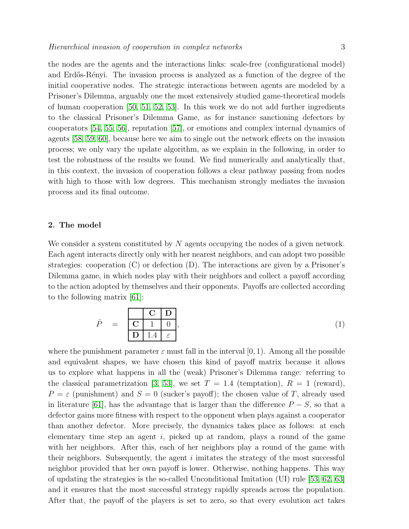the nodes are the agents and the interactions links: scale-free (configurational model) and Erdős-Rényi. The invasion process is analyzed as a function of the degree of the initial cooperative nodes. The strategic interactions between agents are modeled by a Prisoner's Dilemma, arguably one the most extensively studied game-theoretical models of human cooperation [\[50,](#page-19-30) [51,](#page-19-31) [52,](#page-19-32) [53\]](#page-19-33). In this work we do not add further ingredients to the classical Prisoner's Dilemma Game, as for instance sanctioning defectors by cooperators [\[54,](#page-19-34) [55,](#page-19-35) [56\]](#page-19-36), reputation [\[57\]](#page-19-37), or emotions and complex internal dynamics of agents [\[58,](#page-19-38) [59,](#page-19-39) [60\]](#page-19-40), because here we aim to single out the network effects on the invasion process; we only vary the update algorithm, as we explain in the following, in order to test the robustness of the results we found. We find numerically and analytically that, in this context, the invasion of cooperation follows a clear pathway passing from nodes with high to those with low degrees. This mechanism strongly mediates the invasion process and its final outcome.

### <span id="page-2-0"></span>2. The model

We consider a system constituted by N agents occupying the nodes of a given network. Each agent interacts directly only with her nearest neighbors, and can adopt two possible strategies: cooperation (C) or defection (D). The interactions are given by a Prisoner's Dilemma game, in which nodes play with their neighbors and collect a payoff according to the action adopted by themselves and their opponents. Payoffs are collected according to the following matrix [\[61\]](#page-19-41):

$$
\hat{P} = \frac{\begin{array}{|c|c|} \hline \mathbf{C} & \mathbf{D} \\ \hline \mathbf{C} & 1 & 0 \\ \hline \mathbf{D} & 1.4 & \varepsilon \end{array}}{|\mathbf{D}|}
$$
\n(1)

where the punishment parameter  $\varepsilon$  must fall in the interval [0, 1]. Among all the possible and equivalent shapes, we have chosen this kind of payoff matrix because it allows us to explore what happens in all the (weak) Prisoner's Dilemma range: referring to the classical parametrization [\[3,](#page-18-2) [53\]](#page-19-33), we set  $T = 1.4$  (temptation),  $R = 1$  (reward),  $P = \varepsilon$  (punishment) and  $S = 0$  (sucker's payoff); the chosen value of T, already used in literature [\[61\]](#page-19-41), has the advantage that is larger than the difference  $P-S$ , so that a defector gains more fitness with respect to the opponent when plays against a cooperator than another defector. More precisely, the dynamics takes place as follows: at each elementary time step an agent i, picked up at random, plays a round of the game with her neighbors. After this, each of her neighbors play a round of the game with their neighbors. Subsequently, the agent  $i$  imitates the strategy of the most successful neighbor provided that her own payoff is lower. Otherwise, nothing happens. This way of updating the strategies is the so-called Unconditional Imitation (UI) rule [\[53,](#page-19-33) [62,](#page-19-42) [63\]](#page-19-43) and it ensures that the most successful strategy rapidly spreads across the population. After that, the payoff of the players is set to zero, so that every evolution act takes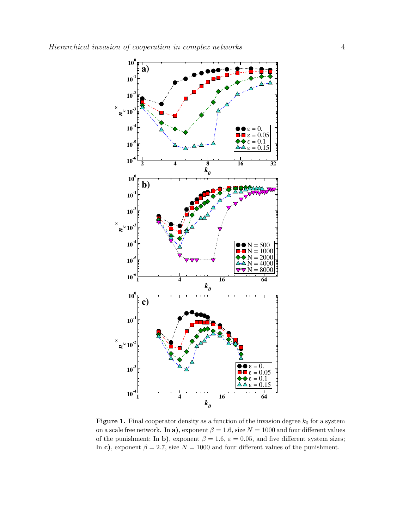

<span id="page-3-0"></span>**Figure 1.** Final cooperator density as a function of the invasion degree  $k_0$  for a system on a scale free network. In a), exponent  $\beta = 1.6$ , size  $N = 1000$  and four different values of the punishment; In b), exponent  $\beta = 1.6$ ,  $\varepsilon = 0.05$ , and five different system sizes; In c), exponent  $\beta = 2.7$ , size  $N = 1000$  and four different values of the punishment.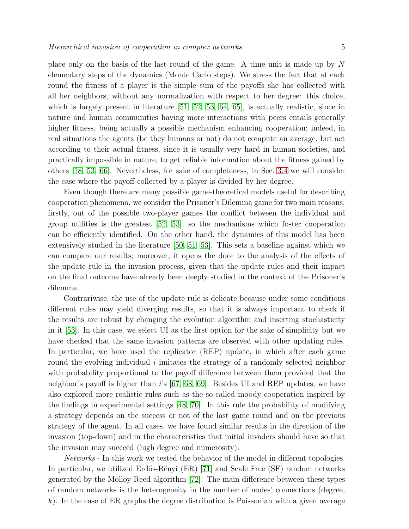place only on the basis of the last round of the game. A time unit is made up by N elementary steps of the dynamics (Monte Carlo steps). We stress the fact that at each round the fitness of a player is the simple sum of the payoffs she has collected with all her neighbors, without any normalization with respect to her degree: this choice, which is largely present in literature [\[51,](#page-19-31) [52,](#page-19-32) [53,](#page-19-33) [64,](#page-19-44) [65\]](#page-19-45), is actually realistic, since in nature and human communities having more interactions with peers entails generally higher fitness, being actually a possible mechanism enhancing cooperation; indeed, in real situations the agents (be they humans or not) do not compute an average, but act according to their actual fitness, since it is usually very hard in human societies, and practically impossible in nature, to get reliable information about the fitness gained by others [\[18,](#page-18-17) [53,](#page-19-33) [66\]](#page-19-46). Nevertheless, for sake of completeness, in Sec. [3.4](#page-10-0) we will consider the case where the payoff collected by a player is divided by her degree.

Even though there are many possible game-theoretical models useful for describing cooperation phenomena, we consider the Prisoner's Dilemma game for two main reasons: firstly, out of the possible two-player games the conflict between the individual and group utilities is the greatest [\[52,](#page-19-32) [53\]](#page-19-33), so the mechanisms which foster cooperation can be efficiently identified. On the other hand, the dynamics of this model has been extensively studied in the literature [\[50,](#page-19-30) [51,](#page-19-31) [53\]](#page-19-33). This sets a baseline against which we can compare our results; moreover, it opens the door to the analysis of the effects of the update rule in the invasion process, given that the update rules and their impact on the final outcome have already been deeply studied in the context of the Prisoner's dilemma.

Contrariwise, the use of the update rule is delicate because under some conditions different rules may yield diverging results, so that it is always important to check if the results are robust by changing the evolution algorithm and inserting stochasticity in it [\[53\]](#page-19-33). In this case, we select UI as the first option for the sake of simplicity but we have checked that the same invasion patterns are observed with other updating rules. In particular, we have used the replicator (REP) update, in which after each game round the evolving individual  $i$  imitates the strategy of a randomly selected neighbor with probability proportional to the payoff difference between them provided that the neighbor's payoff is higher than i's [\[67,](#page-20-0) [68,](#page-20-1) [69\]](#page-20-2). Besides UI and REP updates, we have also explored more realistic rules such as the so-called moody cooperation inspired by the findings in experimental settings [\[48,](#page-19-28) [70\]](#page-20-3). In this rule the probability of modifying a strategy depends on the success or not of the last game round and on the previous strategy of the agent. In all cases, we have found similar results in the direction of the invasion (top-down) and in the characteristics that initial invaders should have so that the invasion may succeed (high degree and numerosity).

Networks - In this work we tested the behavior of the model in different topologies. In particular, we utilized Erdős-Rényi (ER) [\[71\]](#page-20-4) and Scale Free (SF) random networks generated by the Molloy-Reed algorithm [\[72\]](#page-20-5). The main difference between these types of random networks is the heterogeneity in the number of nodes' connections (degree,  $k$ ). In the case of ER graphs the degree distribution is Poissonian with a given average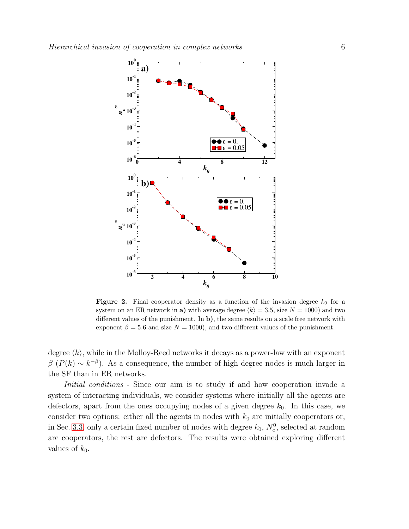

<span id="page-5-0"></span>**Figure 2.** Final cooperator density as a function of the invasion degree  $k_0$  for a system on an ER network in a) with average degree  $\langle k \rangle = 3.5$ , size  $N = 1000$  and two different values of the punishment. In b), the same results on a scale free network with exponent  $\beta = 5.6$  and size  $N = 1000$ , and two different values of the punishment.

degree  $\langle k \rangle$ , while in the Molloy-Reed networks it decays as a power-law with an exponent  $\beta$  ( $P(k) \sim k^{-\beta}$ ). As a consequence, the number of high degree nodes is much larger in the SF than in ER networks.

Initial conditions - Since our aim is to study if and how cooperation invade a system of interacting individuals, we consider systems where initially all the agents are defectors, apart from the ones occupying nodes of a given degree  $k_0$ . In this case, we consider two options: either all the agents in nodes with  $k_0$  are initially cooperators or, in Sec. [3.3,](#page-9-0) only a certain fixed number of nodes with degree  $k_0$ ,  $N_c^0$ , selected at random are cooperators, the rest are defectors. The results were obtained exploring different values of  $k_0$ .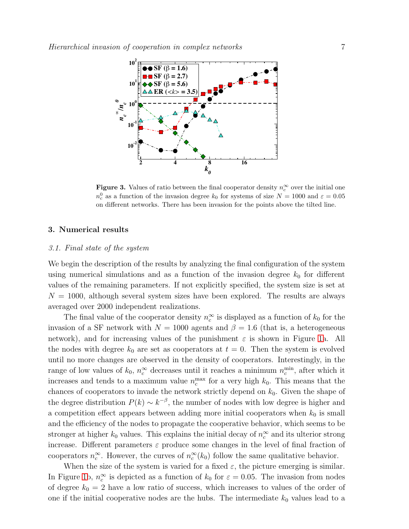

<span id="page-6-0"></span>**Figure 3.** Values of ratio between the final cooperator density  $n_c^{\infty}$  over the initial one  $n_c^0$  as a function of the invasion degree  $k_0$  for systems of size  $N = 1000$  and  $\varepsilon = 0.05$ on different networks. There has been invasion for the points above the tilted line.

# 3. Numerical results

#### 3.1. Final state of the system

We begin the description of the results by analyzing the final configuration of the system using numerical simulations and as a function of the invasion degree  $k_0$  for different values of the remaining parameters. If not explicitly specified, the system size is set at  $N = 1000$ , although several system sizes have been explored. The results are always averaged over 2000 independent realizations.

The final value of the cooperator density  $n_c^{\infty}$  $\int_{c}^{\infty}$  is displayed as a function of  $k_0$  for the invasion of a SF network with  $N = 1000$  agents and  $\beta = 1.6$  (that is, a heterogeneous network), and for increasing values of the punishment  $\varepsilon$  is shown in Figure [1a](#page-3-0). All the nodes with degree  $k_0$  are set as cooperators at  $t = 0$ . Then the system is evolved until no more changes are observed in the density of cooperators. Interestingly, in the range of low values of  $k_0$ ,  $n_c^{\infty}$  decreases until it reaches a minimum  $n_c^{\text{min}}$  $_{c}^{\min}$ , after which it increases and tends to a maximum value  $n_c^{\text{max}}$  for a very high  $k_0$ . This means that the chances of cooperators to invade the network strictly depend on  $k_0$ . Given the shape of the degree distribution  $P(k) \sim k^{-\beta}$ , the number of nodes with low degree is higher and a competition effect appears between adding more initial cooperators when  $k_0$  is small and the efficiency of the nodes to propagate the cooperative behavior, which seems to be stronger at higher  $k_0$  values. This explains the initial decay of  $n_c^{\infty}$  $\int_{c}^{\infty}$  and its ulterior strong increase. Different parameters  $\varepsilon$  produce some changes in the level of final fraction of cooperators  $n_c^{\infty}$  $_{c}^{\infty}$ . However, the curves of  $n_{c}^{\infty}$  $_{c}^{\infty}(k_{0})$  follow the same qualitative behavior.

When the size of the system is varied for a fixed  $\varepsilon$ , the picture emerging is similar. In Figure [1b](#page-3-0),  $n_c^{\infty}$  $\epsilon_c^{\infty}$  is depicted as a function of  $k_0$  for  $\varepsilon = 0.05$ . The invasion from nodes of degree  $k_0 = 2$  have a low ratio of success, which increases to values of the order of one if the initial cooperative nodes are the hubs. The intermediate  $k_0$  values lead to a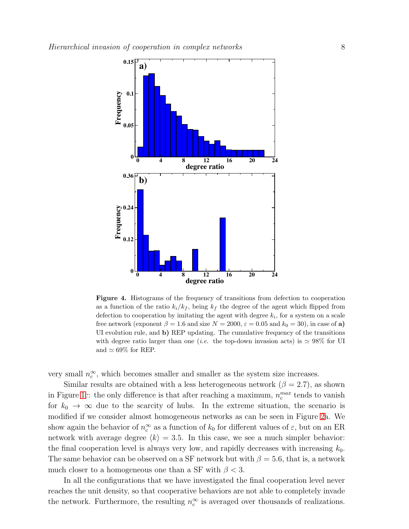

<span id="page-7-0"></span>Figure 4. Histograms of the frequency of transitions from defection to cooperation as a function of the ratio  $k_i/k_f$ , being  $k_f$  the degree of the agent which flipped from defection to cooperation by imitating the agent with degree  $k_i$ , for a system on a scale free network (exponent  $\beta = 1.6$  and size  $N = 2000$ ,  $\varepsilon = 0.05$  and  $k_0 = 30$ ), in case of a) UI evolution rule, and b) REP updating. The cumulative frequency of the transitions with degree ratio larger than one (*i.e.* the top-down invasion acts) is  $\simeq 98\%$  for UI and  $\simeq 69\%$  for REP.

very small  $n_c^{\infty}$  $\infty_c^{\infty}$ , which becomes smaller and smaller as the system size increases.

Similar results are obtained with a less heterogeneous network ( $\beta = 2.7$ ), as shown in Figure [1c](#page-3-0): the only difference is that after reaching a maximum,  $n_c^{max}$  tends to vanish for  $k_0 \to \infty$  due to the scarcity of hubs. In the extreme situation, the scenario is modified if we consider almost homogeneous networks as can be seen in Figure [2a](#page-5-0). We show again the behavior of  $n_c^{\infty}$  $c^{\infty}$  as a function of  $k_0$  for different values of  $\varepsilon$ , but on an ER network with average degree  $\langle k \rangle = 3.5$ . In this case, we see a much simpler behavior: the final cooperation level is always very low, and rapidly decreases with increasing  $k_0$ . The same behavior can be observed on a SF network but with  $\beta = 5.6$ , that is, a network much closer to a homogeneous one than a SF with  $\beta$  < 3.

In all the configurations that we have investigated the final cooperation level never reaches the unit density, so that cooperative behaviors are not able to completely invade the network. Furthermore, the resulting  $n_c^{\infty}$  $\int_{c}^{\infty}$  is averaged over thousands of realizations.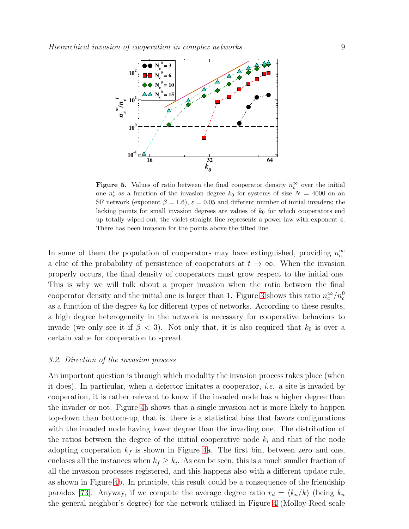

<span id="page-8-0"></span>Figure 5. Values of ratio between the final cooperator density  $n_c^{\infty}$  over the initial one  $n_c^i$  as a function of the invasion degree  $k_0$  for systems of size  $N = 4000$  on an SF network (exponent  $\beta = 1.6$ ),  $\varepsilon = 0.05$  and different number of initial invaders; the lacking points for small invasion degrees are values of  $k_0$  for which cooperators end up totally wiped out; the violet straight line represents a power law with exponent 4. There has been invasion for the points above the tilted line.

In some of them the population of cooperators may have extinguished, providing  $n_c^{\infty}$ c a clue of the probability of persistence of cooperators at  $t \to \infty$ . When the invasion properly occurs, the final density of cooperators must grow respect to the initial one. This is why we will talk about a proper invasion when the ratio between the final cooperator density and the initial one is larger than 1. Figure [3](#page-6-0) shows this ratio  $n_c^{\infty}/n_c^0$ as a function of the degree  $k_0$  for different types of networks. According to these results, a high degree heterogeneity in the network is necessary for cooperative behaviors to invade (we only see it if  $\beta$  < 3). Not only that, it is also required that  $k_0$  is over a certain value for cooperation to spread.

#### 3.2. Direction of the invasion process

An important question is through which modality the invasion process takes place (when it does). In particular, when a defector imitates a cooperator, *i.e.* a site is invaded by cooperation, it is rather relevant to know if the invaded node has a higher degree than the invader or not. Figure [4a](#page-7-0) shows that a single invasion act is more likely to happen top-down than bottom-up, that is, there is a statistical bias that favors configurations with the invaded node having lower degree than the invading one. The distribution of the ratios between the degree of the initial cooperative node  $k_i$  and that of the node adopting cooperation  $k_f$  is shown in Figure [4a](#page-7-0). The first bin, between zero and one, encloses all the instances when  $k_f \geq k_i$ . As can be seen, this is a much smaller fraction of all the invasion processes registered, and this happens also with a different update rule, as shown in Figure [4b](#page-7-0). In principle, this result could be a consequence of the friendship paradox [\[73\]](#page-20-6). Anyway, if we compute the average degree ratio  $r_d = \langle k_n/k \rangle$  (being  $k_n$ the general neighbor's degree) for the network utilized in Figure [4](#page-7-0) (Molloy-Reed scale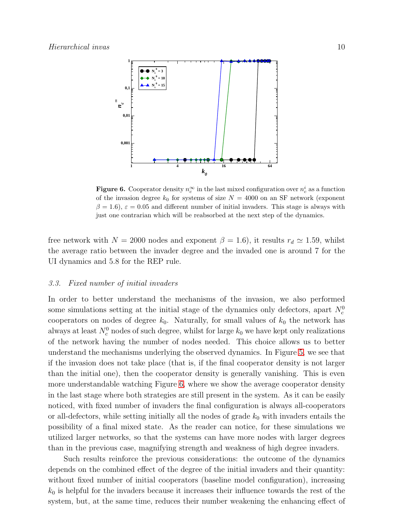

<span id="page-9-1"></span>**Figure 6.** Cooperator density  $n_c^{\infty}$  in the last mixed configuration over  $n_c^i$  as a function of the invasion degree  $k_0$  for systems of size  $N = 4000$  on an SF network (exponent  $\beta = 1.6$ ,  $\varepsilon = 0.05$  and different number of initial invaders. This stage is always with just one contrarian which will be reabsorbed at the next step of the dynamics.

free network with  $N = 2000$  nodes and exponent  $\beta = 1.6$ ), it results  $r_d \simeq 1.59$ , whilst the average ratio between the invader degree and the invaded one is around 7 for the UI dynamics and 5.8 for the REP rule.

#### <span id="page-9-0"></span>3.3. Fixed number of initial invaders

In order to better understand the mechanisms of the invasion, we also performed some simulations setting at the initial stage of the dynamics only defectors, apart  $N_c^0$ cooperators on nodes of degree  $k_0$ . Naturally, for small values of  $k_0$  the network has always at least  $N_c^0$  nodes of such degree, whilst for large  $k_0$  we have kept only realizations of the network having the number of nodes needed. This choice allows us to better understand the mechanisms underlying the observed dynamics. In Figure [5,](#page-8-0) we see that if the invasion does not take place (that is, if the final cooperator density is not larger than the initial one), then the cooperator density is generally vanishing. This is even more understandable watching Figure [6,](#page-9-1) where we show the average cooperator density in the last stage where both strategies are still present in the system. As it can be easily noticed, with fixed number of invaders the final configuration is always all-cooperators or all-defectors, while setting initially all the nodes of grade  $k_0$  with invaders entails the possibility of a final mixed state. As the reader can notice, for these simulations we utilized larger networks, so that the systems can have more nodes with larger degrees than in the previous case, magnifying strength and weakness of high degree invaders.

Such results reinforce the previous considerations: the outcome of the dynamics depends on the combined effect of the degree of the initial invaders and their quantity: without fixed number of initial cooperators (baseline model configuration), increasing  $k_0$  is helpful for the invaders because it increases their influence towards the rest of the system, but, at the same time, reduces their number weakening the enhancing effect of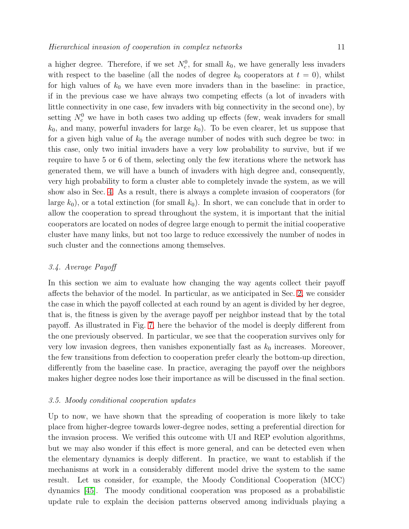a higher degree. Therefore, if we set  $N_c^0$ , for small  $k_0$ , we have generally less invaders with respect to the baseline (all the nodes of degree  $k_0$  cooperators at  $t = 0$ ), whilst for high values of  $k_0$  we have even more invaders than in the baseline: in practice, if in the previous case we have always two competing effects (a lot of invaders with little connectivity in one case, few invaders with big connectivity in the second one), by setting  $N_c^0$  we have in both cases two adding up effects (few, weak invaders for small  $k_0$ , and many, powerful invaders for large  $k_0$ ). To be even clearer, let us suppose that for a given high value of  $k_0$  the average number of nodes with such degree be two: in this case, only two initial invaders have a very low probability to survive, but if we require to have 5 or 6 of them, selecting only the few iterations where the network has generated them, we will have a bunch of invaders with high degree and, consequently, very high probability to form a cluster able to completely invade the system, as we will show also in Sec. [4.](#page-13-0) As a result, there is always a complete invasion of cooperators (for large  $k_0$ ), or a total extinction (for small  $k_0$ ). In short, we can conclude that in order to allow the cooperation to spread throughout the system, it is important that the initial cooperators are located on nodes of degree large enough to permit the initial cooperative cluster have many links, but not too large to reduce excessively the number of nodes in such cluster and the connections among themselves.

# <span id="page-10-0"></span>3.4. Average Payoff

In this section we aim to evaluate how changing the way agents collect their payoff affects the behavior of the model. In particular, as we anticipated in Sec. [2,](#page-2-0) we consider the case in which the payoff collected at each round by an agent is divided by her degree, that is, the fitness is given by the average payoff per neighbor instead that by the total payoff. As illustrated in Fig. [7,](#page-11-0) here the behavior of the model is deeply different from the one previously observed. In particular, we see that the cooperation survives only for very low invasion degrees, then vanishes exponentially fast as  $k_0$  increases. Moreover, the few transitions from defection to cooperation prefer clearly the bottom-up direction, differently from the baseline case. In practice, averaging the payoff over the neighbors makes higher degree nodes lose their importance as will be discussed in the final section.

# 3.5. Moody conditional cooperation updates

Up to now, we have shown that the spreading of cooperation is more likely to take place from higher-degree towards lower-degree nodes, setting a preferential direction for the invasion process. We verified this outcome with UI and REP evolution algorithms, but we may also wonder if this effect is more general, and can be detected even when the elementary dynamics is deeply different. In practice, we want to establish if the mechanisms at work in a considerably different model drive the system to the same result. Let us consider, for example, the Moody Conditional Cooperation (MCC) dynamics [\[45\]](#page-19-25). The moody conditional cooperation was proposed as a probabilistic update rule to explain the decision patterns observed among individuals playing a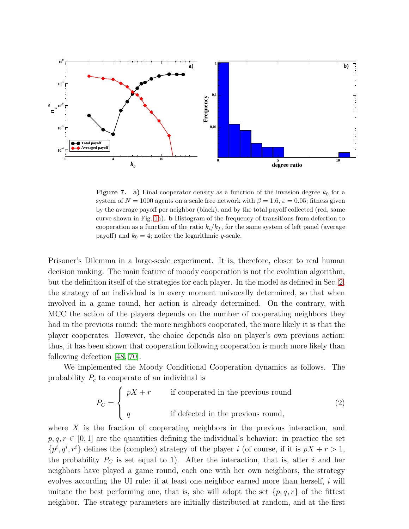

<span id="page-11-0"></span>**Figure 7.** a) Final cooperator density as a function of the invasion degree  $k_0$  for a system of  $N = 1000$  agents on a scale free network with  $\beta = 1.6$ ,  $\varepsilon = 0.05$ ; fitness given by the average payoff per neighbor (black), and by the total payoff collected (red, same curve shown in Fig. [1a](#page-3-0)). b Histogram of the frequency of transitions from defection to cooperation as a function of the ratio  $k_i/k_f$ , for the same system of left panel (average payoff) and  $k_0 = 4$ ; notice the logarithmic y-scale.

Prisoner's Dilemma in a large-scale experiment. It is, therefore, closer to real human decision making. The main feature of moody cooperation is not the evolution algorithm, but the definition itself of the strategies for each player. In the model as defined in Sec. [2,](#page-2-0) the strategy of an individual is in every moment univocally determined, so that when involved in a game round, her action is already determined. On the contrary, with MCC the action of the players depends on the number of cooperating neighbors they had in the previous round: the more neighbors cooperated, the more likely it is that the player cooperates. However, the choice depends also on player's own previous action: thus, it has been shown that cooperation following cooperation is much more likely than following defection [\[48,](#page-19-28) [70\]](#page-20-3).

We implemented the Moody Conditional Cooperation dynamics as follows. The probability  $P_c$  to cooperate of an individual is

$$
P_C = \begin{cases} pX + r & \text{if cooperated in the previous round} \\ q & \text{if defected in the previous round,} \end{cases}
$$
 (2)

where  $X$  is the fraction of cooperating neighbors in the previous interaction, and  $p, q, r \in [0, 1]$  are the quantities defining the individual's behavior: in practice the set  $\{p^i, q^i, r^i\}$  defines the (complex) strategy of the player i (of course, if it is  $pX + r > 1$ , the probability  $P_C$  is set equal to 1). After the interaction, that is, after i and her neighbors have played a game round, each one with her own neighbors, the strategy evolves according the UI rule: if at least one neighbor earned more than herself, i will imitate the best performing one, that is, she will adopt the set  $\{p,q,r\}$  of the fittest neighbor. The strategy parameters are initially distributed at random, and at the first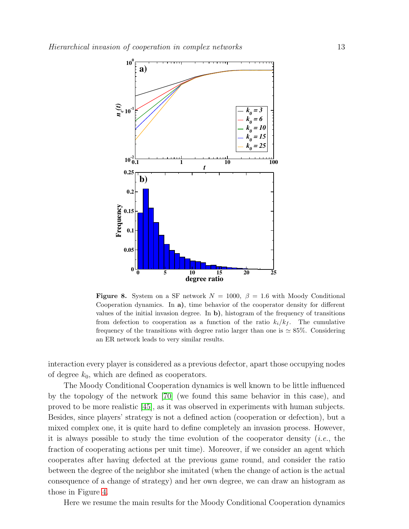

<span id="page-12-0"></span>**Figure 8.** System on a SF network  $N = 1000$ ,  $\beta = 1.6$  with Moody Conditional Cooperation dynamics. In a), time behavior of the cooperator density for different values of the initial invasion degree. In  $\mathbf{b}$ , histogram of the frequency of transitions from defection to cooperation as a function of the ratio  $k_i/k_f$ . The cumulative frequency of the transitions with degree ratio larger than one is  $\simeq 85\%$ . Considering an ER network leads to very similar results.

interaction every player is considered as a previous defector, apart those occupying nodes of degree  $k_0$ , which are defined as cooperators.

The Moody Conditional Cooperation dynamics is well known to be little influenced by the topology of the network [\[70\]](#page-20-3) (we found this same behavior in this case), and proved to be more realistic [\[45\]](#page-19-25), as it was observed in experiments with human subjects. Besides, since players' strategy is not a defined action (cooperation or defection), but a mixed complex one, it is quite hard to define completely an invasion process. However, it is always possible to study the time evolution of the cooperator density (*i.e.*, the fraction of cooperating actions per unit time). Moreover, if we consider an agent which cooperates after having defected at the previous game round, and consider the ratio between the degree of the neighbor she imitated (when the change of action is the actual consequence of a change of strategy) and her own degree, we can draw an histogram as those in Figure [4.](#page-7-0)

Here we resume the main results for the Moody Conditional Cooperation dynamics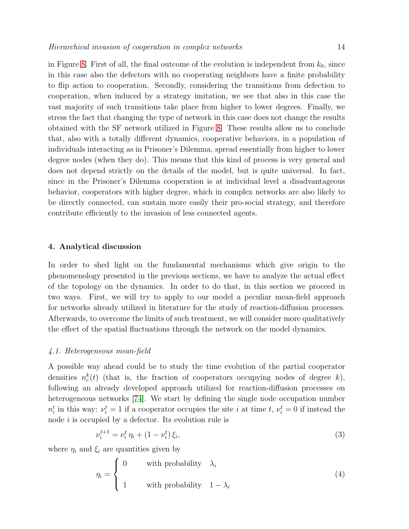in Figure [8.](#page-12-0) First of all, the final outcome of the evolution is independent from  $k_0$ , since in this case also the defectors with no cooperating neighbors have a finite probability to flip action to cooperation. Secondly, considering the transitions from defection to cooperation, when induced by a strategy imitation, we see that also in this case the vast majority of such transitions take place from higher to lower degrees. Finally, we stress the fact that changing the type of network in this case does not change the results obtained with the SF network utilized in Figure [8.](#page-12-0) These results allow us to conclude that, also with a totally different dynamics, cooperative behaviors, in a population of individuals interacting as in Prisoner's Dilemma, spread essentially from higher to lower degree nodes (when they do). This means that this kind of process is very general and does not depend strictly on the details of the model, but is quite universal. In fact, since in the Prisoner's Dilemma cooperation is at individual level a disadvantageous behavior, cooperators with higher degree, which in complex networks are also likely to be directly connected, can sustain more easily their pro-social strategy, and therefore contribute efficiently to the invasion of less connected agents.

#### <span id="page-13-0"></span>4. Analytical discussion

In order to shed light on the fundamental mechanisms which give origin to the phenomenology presented in the previous sections, we have to analyze the actual effect of the topology on the dynamics. In order to do that, in this section we proceed in two ways. First, we will try to apply to our model a peculiar mean-field approach for networks already utilized in literature for the study of reaction-diffusion processes. Afterwards, to overcome the limits of such treatment, we will consider more qualitatively the effect of the spatial fluctuations through the network on the model dynamics.

#### 4.1. Heterogeneous mean-field

A possible way ahead could be to study the time evolution of the partial cooperator densities  $n_c^k(t)$  (that is, the fraction of cooperators occupying nodes of degree k), following an already developed approach utilized for reaction-diffusion processes on heterogeneous networks [\[74\]](#page-20-7). We start by defining the single node occupation number  $n_i^t$  in this way:  $\nu_i^t = 1$  if a cooperator occupies the site i at time t,  $\nu_i^t = 0$  if instead the node  $i$  is occupied by a defector. Its evolution rule is

$$
\nu_i^{t+1} = \nu_i^t \eta_i + (1 - \nu_i^t) \xi_i,\tag{3}
$$

where  $\eta_i$  and  $\xi_i$  are quantities given by

$$
\eta_i = \begin{cases}\n0 & \text{with probability} \quad \lambda_i \\
1 & \text{with probability} \quad 1 - \lambda_i\n\end{cases} \tag{4}
$$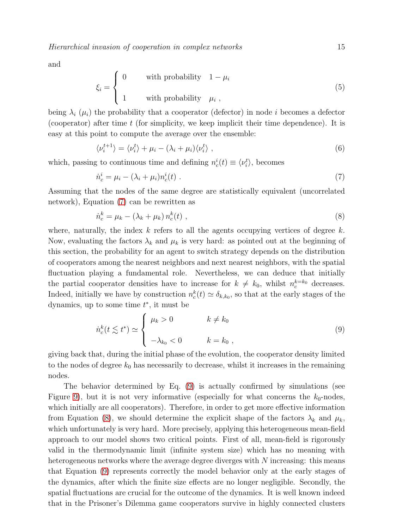and

$$
\xi_i = \begin{cases}\n0 & \text{with probability} \quad 1 - \mu_i \\
1 & \text{with probability} \quad \mu_i \,,\n\end{cases} \tag{5}
$$

being  $\lambda_i$  ( $\mu_i$ ) the probability that a cooperator (defector) in node i becomes a defector (cooperator) after time  $t$  (for simplicity, we keep implicit their time dependence). It is easy at this point to compute the average over the ensemble:

$$
\langle \nu_i^{t+1} \rangle = \langle \nu_i^t \rangle + \mu_i - (\lambda_i + \mu_i) \langle \nu_i^t \rangle \tag{6}
$$

which, passing to continuous time and defining  $n_c^i(t) \equiv \langle \nu_i^t \rangle$ , becomes

<span id="page-14-0"></span>
$$
\dot{n}_c^i = \mu_i - (\lambda_i + \mu_i) n_c^i(t) \tag{7}
$$

Assuming that the nodes of the same degree are statistically equivalent (uncorrelated network), Equation [\(7\)](#page-14-0) can be rewritten as

<span id="page-14-2"></span>
$$
\dot{n}_c^k = \mu_k - (\lambda_k + \mu_k) n_c^k(t) , \qquad (8)
$$

where, naturally, the index  $k$  refers to all the agents occupying vertices of degree  $k$ . Now, evaluating the factors  $\lambda_k$  and  $\mu_k$  is very hard: as pointed out at the beginning of this section, the probability for an agent to switch strategy depends on the distribution of cooperators among the nearest neighbors and next nearest neighbors, with the spatial fluctuation playing a fundamental role. Nevertheless, we can deduce that initially the partial cooperator densities have to increase for  $k \neq k_0$ , whilst  $n_c^{k=k_0}$  decreases. Indeed, initially we have by construction  $n_c^k(t) \simeq \delta_{k,k_0}$ , so that at the early stages of the dynamics, up to some time  $t^*$ , it must be

<span id="page-14-1"></span>
$$
\dot{n}_c^k(t \lesssim t^*) \simeq \begin{cases} \mu_k > 0 & k \neq k_0 \\ -\lambda_{k_0} < 0 & k = k_0, \end{cases}
$$
\n(9)

giving back that, during the initial phase of the evolution, the cooperator density limited to the nodes of degree  $k_0$  has necessarily to decrease, whilst it increases in the remaining nodes.

The behavior determined by Eq. [\(9\)](#page-14-1) is actually confirmed by simulations (see Figure [9\)](#page-15-0), but it is not very informative (especially for what concerns the  $k_0$ -nodes, which initially are all cooperators). Therefore, in order to get more effective information from Equation [\(8\)](#page-14-2), we should determine the explicit shape of the factors  $\lambda_k$  and  $\mu_k$ , which unfortunately is very hard. More precisely, applying this heterogeneous mean-field approach to our model shows two critical points. First of all, mean-field is rigorously valid in the thermodynamic limit (infinite system size) which has no meaning with heterogeneous networks where the average degree diverges with N increasing: this means that Equation [\(9\)](#page-14-1) represents correctly the model behavior only at the early stages of the dynamics, after which the finite size effects are no longer negligible. Secondly, the spatial fluctuations are crucial for the outcome of the dynamics. It is well known indeed that in the Prisoner's Dilemma game cooperators survive in highly connected clusters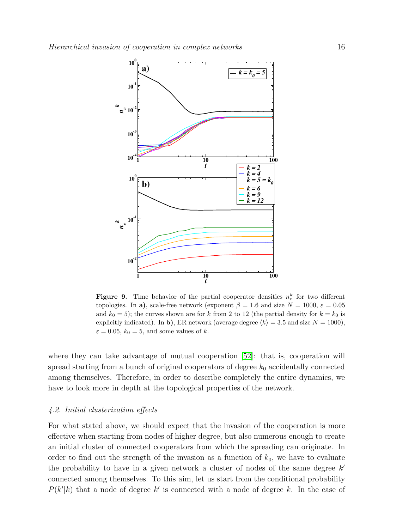

<span id="page-15-0"></span>**Figure 9.** Time behavior of the partial cooperator densities  $n_c^k$  for two different topologies. In a), scale-free network (exponent  $\beta = 1.6$  and size  $N = 1000$ ,  $\varepsilon = 0.05$ and  $k_0 = 5$ ); the curves shown are for k from 2 to 12 (the partial density for  $k = k_0$  is explicitly indicated). In b), ER network (average degree  $\langle k \rangle = 3.5$  and size  $N = 1000$ ),  $\varepsilon = 0.05$ ,  $k_0 = 5$ , and some values of k.

where they can take advantage of mutual cooperation [\[52\]](#page-19-32): that is, cooperation will spread starting from a bunch of original cooperators of degree  $k_0$  accidentally connected among themselves. Therefore, in order to describe completely the entire dynamics, we have to look more in depth at the topological properties of the network.

# 4.2. Initial clusterization effects

For what stated above, we should expect that the invasion of the cooperation is more effective when starting from nodes of higher degree, but also numerous enough to create an initial cluster of connected cooperators from which the spreading can originate. In order to find out the strength of the invasion as a function of  $k_0$ , we have to evaluate the probability to have in a given network a cluster of nodes of the same degree  $k'$ connected among themselves. To this aim, let us start from the conditional probability  $P(k'|k)$  that a node of degree k' is connected with a node of degree k. In the case of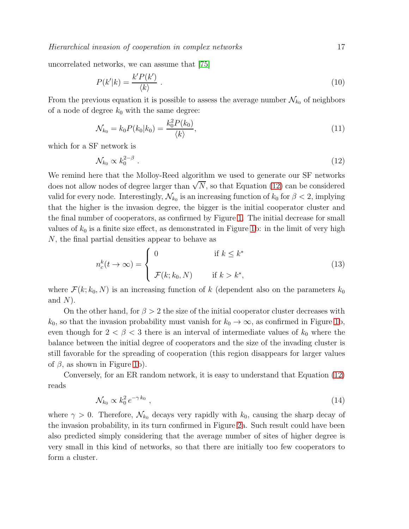Hierarchical invasion of cooperation in complex networks 17

uncorrelated networks, we can assume that [\[75\]](#page-20-8)

$$
P(k'|k) = \frac{k'P(k')}{\langle k \rangle} \tag{10}
$$

From the previous equation it is possible to assess the average number  $\mathcal{N}_{k_0}$  of neighbors of a node of degree  $k_0$  with the same degree:

$$
\mathcal{N}_{k_0} = k_0 P(k_0|k_0) = \frac{k_0^2 P(k_0)}{\langle k \rangle},
$$
\n(11)

which for a SF network is

<span id="page-16-0"></span>
$$
\mathcal{N}_{k_0} \propto k_0^{2-\beta} \tag{12}
$$

We remind here that the Molloy-Reed algorithm we used to generate our SF networks does not allow nodes of degree larger than  $\sqrt{N}$ , so that Equation [\(12\)](#page-16-0) can be considered valid for every node. Interestingly,  $\mathcal{N}_{k_0}$  is an increasing function of  $k_0$  for  $\beta < 2$ , implying that the higher is the invasion degree, the bigger is the initial cooperator cluster and the final number of cooperators, as confirmed by Figure [1.](#page-3-0) The initial decrease for small values of  $k_0$  is a finite size effect, as demonstrated in Figure [1b](#page-3-0): in the limit of very high N, the final partial densities appear to behave as

$$
n_c^k(t \to \infty) = \begin{cases} 0 & \text{if } k \le k^* \\ \mathcal{F}(k; k_0, N) & \text{if } k > k^*, \end{cases}
$$
 (13)

where  $\mathcal{F}(k; k_0, N)$  is an increasing function of k (dependent also on the parameters  $k_0$ and  $N$ ).

On the other hand, for  $\beta > 2$  the size of the initial cooperator cluster decreases with  $k_0$ , so that the invasion probability must vanish for  $k_0 \to \infty$ , as confirmed in Figure [1b](#page-3-0), even though for  $2 < \beta < 3$  there is an interval of intermediate values of  $k_0$  where the balance between the initial degree of cooperators and the size of the invading cluster is still favorable for the spreading of cooperation (this region disappears for larger values of  $\beta$ , as shown in Figure [1b](#page-3-0)).

Conversely, for an ER random network, it is easy to understand that Equation [\(12\)](#page-16-0) reads

$$
\mathcal{N}_{k_0} \propto k_0^2 \, e^{-\gamma \, k_0} \tag{14}
$$

where  $\gamma > 0$ . Therefore,  $\mathcal{N}_{k_0}$  decays very rapidly with  $k_0$ , causing the sharp decay of the invasion probability, in its turn confirmed in Figure [2a](#page-5-0). Such result could have been also predicted simply considering that the average number of sites of higher degree is very small in this kind of networks, so that there are initially too few cooperators to form a cluster.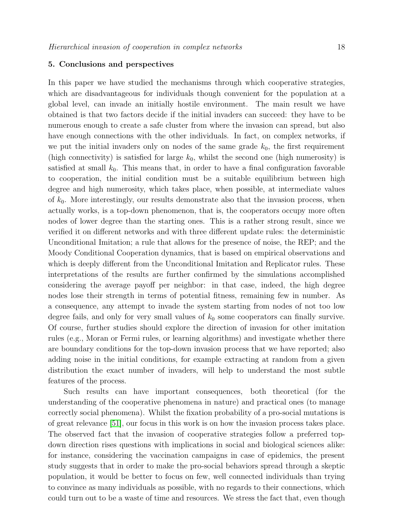# 5. Conclusions and perspectives

In this paper we have studied the mechanisms through which cooperative strategies, which are disadvantageous for individuals though convenient for the population at a global level, can invade an initially hostile environment. The main result we have obtained is that two factors decide if the initial invaders can succeed: they have to be numerous enough to create a safe cluster from where the invasion can spread, but also have enough connections with the other individuals. In fact, on complex networks, if we put the initial invaders only on nodes of the same grade  $k_0$ , the first requirement (high connectivity) is satisfied for large  $k_0$ , whilst the second one (high numerosity) is satisfied at small  $k_0$ . This means that, in order to have a final configuration favorable to cooperation, the initial condition must be a suitable equilibrium between high degree and high numerosity, which takes place, when possible, at intermediate values of  $k_0$ . More interestingly, our results demonstrate also that the invasion process, when actually works, is a top-down phenomenon, that is, the cooperators occupy more often nodes of lower degree than the starting ones. This is a rather strong result, since we verified it on different networks and with three different update rules: the deterministic Unconditional Imitation; a rule that allows for the presence of noise, the REP; and the Moody Conditional Cooperation dynamics, that is based on empirical observations and which is deeply different from the Unconditional Imitation and Replicator rules. These interpretations of the results are further confirmed by the simulations accomplished considering the average payoff per neighbor: in that case, indeed, the high degree nodes lose their strength in terms of potential fitness, remaining few in number. As a consequence, any attempt to invade the system starting from nodes of not too low degree fails, and only for very small values of  $k_0$  some cooperators can finally survive. Of course, further studies should explore the direction of invasion for other imitation rules (e.g., Moran or Fermi rules, or learning algorithms) and investigate whether there are boundary conditions for the top-down invasion process that we have reported; also adding noise in the initial conditions, for example extracting at random from a given distribution the exact number of invaders, will help to understand the most subtle features of the process.

Such results can have important consequences, both theoretical (for the understanding of the cooperative phenomena in nature) and practical ones (to manage correctly social phenomena). Whilst the fixation probability of a pro-social mutations is of great relevance [\[51\]](#page-19-31), our focus in this work is on how the invasion process takes place. The observed fact that the invasion of cooperative strategies follow a preferred topdown direction rises questions with implications in social and biological sciences alike: for instance, considering the vaccination campaigns in case of epidemics, the present study suggests that in order to make the pro-social behaviors spread through a skeptic population, it would be better to focus on few, well connected individuals than trying to convince as many individuals as possible, with no regards to their connections, which could turn out to be a waste of time and resources. We stress the fact that, even though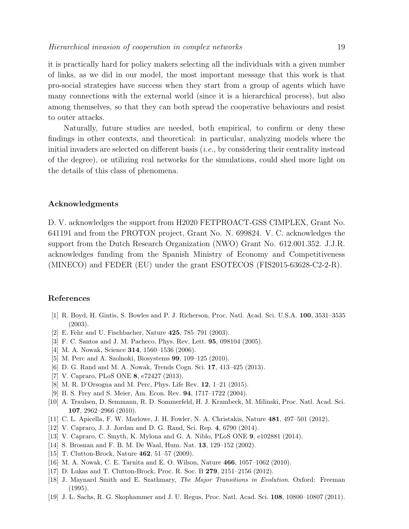it is practically hard for policy makers selecting all the individuals with a given number of links, as we did in our model, the most important message that this work is that pro-social strategies have success when they start from a group of agents which have many connections with the external world (since it is a hierarchical process), but also among themselves, so that they can both spread the cooperative behaviours and resist to outer attacks.

Naturally, future studies are needed, both empirical, to confirm or deny these findings in other contexts, and theoretical: in particular, analyzing models where the initial invaders are selected on different basis  $(i.e., by considering their centrality instead$ of the degree), or utilizing real networks for the simulations, could shed more light on the details of this class of phenomena.

#### Acknowledgments

D. V. acknowledges the support from H2020 FETPROACT-GSS CIMPLEX, Grant No. 641191 and from the PROTON project, Grant No. N. 699824. V. C. acknowledges the support from the Dutch Research Organization (NWO) Grant No. 612.001.352. J.J.R. acknowledges funding from the Spanish Ministry of Economy and Competitiveness (MINECO) and FEDER (EU) under the grant ESOTECOS (FIS2015-63628-C2-2-R).

# <span id="page-18-0"></span>References

- <span id="page-18-1"></span>[1] R. Boyd, H. Gintis, S. Bowles and P. J. Richerson, Proc. Natl. Acad. Sci. U.S.A. 100, 3531–3535 (2003).
- <span id="page-18-2"></span>[2] E. Fehr and U. Fischbacher, Nature 425, 785–791 (2003).
- <span id="page-18-3"></span>[3] F. C. Santos and J. M. Pacheco, Phys. Rev. Lett. 95, 098104 (2005).
- <span id="page-18-4"></span>[4] M. A. Nowak, Science **314**, 1560–1536 (2006).
- <span id="page-18-5"></span>[5] M. Perc and A. Szolnoki, Biosystems 99, 109–125 (2010).
- <span id="page-18-6"></span>[6] D. G. Rand and M. A. Nowak, Trends Cogn. Sci. 17, 413–425 (2013).
- <span id="page-18-7"></span>[7] V. Capraro, PLoS ONE 8, e72427 (2013).
- <span id="page-18-8"></span>[8] M. R. D'Orsogna and M. Perc, Phys. Life Rev. 12, 1–21 (2015).
- <span id="page-18-9"></span>[9] B. S. Frey and S. Meier, Am. Econ. Rev. 94, 1717–1722 (2004).
- [10] A. Traulsen, D. Semmann, R. D. Sommerfeld, H. J. Krambeck, M. Milinski, Proc. Natl. Acad. Sci. 107, 2962–2966 (2010).
- <span id="page-18-11"></span><span id="page-18-10"></span>[11] C. L. Apicella, F. W. Marlowe, J. H. Fowler, N. A. Christakis, Nature 481, 497–501 (2012).
- <span id="page-18-12"></span>[12] V. Capraro, J. J. Jordan and D. G. Rand, Sci. Rep. 4, 6790 (2014).
- <span id="page-18-13"></span>[13] V. Capraro, C. Smyth, K. Mylona and G. A. Niblo, PLoS ONE 9, e102881 (2014).
- <span id="page-18-14"></span>[14] S. Brosnan and F. B. M. De Waal, Hum. Nat. 13, 129–152 (2002).
- <span id="page-18-15"></span>[15] T. Clutton-Brock, Nature 462, 51–57 (2009).
- <span id="page-18-16"></span>[16] M. A. Nowak, C. E. Tarnita and E. O. Wilson, Nature 466, 1057–1062 (2010).
- <span id="page-18-17"></span>[17] D. Lukas and T. Clutton-Brock, Proc. R. Soc. B 279, 2151–2156 (2012).
- [18] J. Maynard Smith and E. Szathmary, The Major Transitions in Evolution. Oxford: Freeman (1995).
- <span id="page-18-18"></span>[19] J. L. Sachs, R. G. Skophammer and J. U. Regus, Proc. Natl. Acad. Sci. 108, 10800–10807 (2011).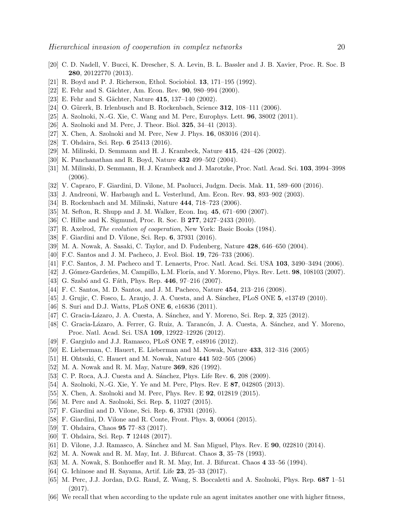- <span id="page-19-1"></span><span id="page-19-0"></span>[20] C. D. Nadell, V. Bucci, K. Drescher, S. A. Levin, B. L. Bassler and J. B. Xavier, Proc. R. Soc. B 280, 20122770 (2013).
- <span id="page-19-2"></span>[21] R. Boyd and P. J. Richerson, Ethol. Sociobiol. 13, 171–195 (1992).
- <span id="page-19-3"></span>[22] E. Fehr and S. Gächter, Am. Econ. Rev. 90, 980–994 (2000).
- <span id="page-19-4"></span>[23] E. Fehr and S. Gächter, Nature 415, 137–140 (2002).
- <span id="page-19-5"></span>[24] O. Gürerk, B. Irlenbusch and B. Rockenbach, Science  $312$ ,  $108-111$  (2006).
- <span id="page-19-6"></span>[25] A. Szolnoki, N.-G. Xie, C. Wang and M. Perc, Europhys. Lett. 96, 38002 (2011).
- <span id="page-19-7"></span>[26] A. Szolnoki and M. Perc, J. Theor. Biol. 325, 34–41 (2013).
- <span id="page-19-8"></span>[27] X. Chen, A. Szolnoki and M. Perc, New J. Phys. 16, 083016 (2014).
- <span id="page-19-9"></span>[28] T. Ohdaira, Sci. Rep. 6 25413 (2016).
- <span id="page-19-10"></span>[29] M. Milinski, D. Semmann and H. J. Krambeck, Nature 415, 424–426 (2002).
- <span id="page-19-11"></span>[30] K. Panchanathan and R. Boyd, Nature 432 499–502 (2004).
- <span id="page-19-12"></span>[31] M. Milinski, D. Semmann, H. J. Krambeck and J. Marotzke, Proc. Natl. Acad. Sci. 103, 3994–3998 (2006).
- <span id="page-19-13"></span>[32] V. Capraro, F. Giardini, D. Vilone, M. Paolucci, Judgm. Decis. Mak. 11, 589–600 (2016).
- <span id="page-19-14"></span>[33] J. Andreoni, W. Harbaugh and L. Vesterlund, Am. Econ. Rev. 93, 893–902 (2003).
- <span id="page-19-15"></span>[34] B. Rockenbach and M. Milinski, Nature 444, 718–723 (2006).
- <span id="page-19-16"></span>[35] M. Sefton, R. Shupp and J. M. Walker, Econ. Inq. 45, 671–690 (2007).
- <span id="page-19-17"></span>[36] C. Hilbe and K. Sigmund, Proc. R. Soc. B 277, 2427–2433 (2010).
- <span id="page-19-18"></span>[37] R. Axelrod, The evolution of cooperation, New York: Basic Books (1984).
- <span id="page-19-19"></span>[38] F. Giardini and D. Vilone, Sci. Rep. 6, 37931 (2016).
- <span id="page-19-20"></span>[39] M. A. Nowak, A. Sasaki, C. Taylor, and D. Fudenberg, Nature 428, 646–650 (2004).
- <span id="page-19-21"></span>[40] F.C. Santos and J. M. Pacheco, J. Evol. Biol. **19**, 726–733 (2006).
- <span id="page-19-22"></span>[41] F.C. Santos, J. M. Pacheco and T. Lenaerts, Proc. Natl. Acad. Sci. USA 103, 3490–3494 (2006).
- <span id="page-19-23"></span>[42] J. Gómez-Gardeñes, M. Campillo, L.M. Floría, and Y. Moreno, Phys. Rev. Lett. 98, 108103 (2007).
- <span id="page-19-24"></span>[43] G. Szabó and G. Fáth, Phys. Rep. 446, 97-216 (2007).
- <span id="page-19-25"></span>[44] F. C. Santos, M. D. Santos, and J. M. Pacheco, Nature 454, 213–216 (2008).
- <span id="page-19-26"></span>[45] J. Grujic, C. Fosco, L. Araujo, J. A. Cuesta, and A. Sánchez, PLoS ONE 5, e13749 (2010).
- <span id="page-19-27"></span>[46] S. Suri and D.J. Watts, PLoS ONE 6, e16836 (2011).
- <span id="page-19-28"></span>[47] C. Gracia-Lázaro, J. A. Cuesta, A. Sánchez, and Y. Moreno, Sci. Rep. 2, 325 (2012).
- <span id="page-19-29"></span>[48] C. Gracia-Lázaro, A. Ferrer, G. Ruiz, A. Tarancón, J. A. Cuesta, A. Sánchez, and Y. Moreno, Proc. Natl. Acad. Sci. USA 109, 12922–12926 (2012).
- <span id="page-19-30"></span>[49] F. Gargiulo and J.J. Ramasco, PLoS ONE 7, e48916 (2012).
- <span id="page-19-31"></span>[50] E. Lieberman, C. Hauert, E. Lieberman and M. Nowak, Nature 433, 312–316 (2005)
- <span id="page-19-32"></span>[51] H. Ohtsuki, C. Hauert and M. Nowak, Nature 441 502–505 (2006)
- <span id="page-19-33"></span>[52] M. A. Nowak and R. M. May, Nature 369, 826 (1992).
- <span id="page-19-34"></span>[53] C. P. Roca, A.J. Cuesta and A. Sánchez, Phys. Life Rev. 6, 208 (2009).
- <span id="page-19-35"></span>[54] A. Szolnoki, N.-G. Xie, Y. Ye and M. Perc, Phys. Rev. E 87, 042805 (2013).
- <span id="page-19-36"></span>[55] X. Chen, A. Szolnoki and M. Perc, Phys. Rev. E **92**, 012819 (2015).
- <span id="page-19-37"></span>[56] M. Perc and A. Szolnoki, Sci. Rep. 5, 11027 (2015).
- <span id="page-19-38"></span>[57] F. Giardini and D. Vilone, Sci. Rep. 6, 37931 (2016).
- <span id="page-19-39"></span>[58] F. Giardini, D. Vilone and R. Conte, Front. Phys. 3, 00064 (2015).
- <span id="page-19-40"></span>[59] T. Ohdaira, Chaos 95 77–83 (2017).
- <span id="page-19-41"></span>[60] T. Ohdaira, Sci. Rep. 7 12448 (2017).
- <span id="page-19-42"></span>[61] D. Vilone, J.J. Ramasco, A. Sánchez and M. San Miguel, Phys. Rev. E **90**, 022810 (2014).
- <span id="page-19-43"></span>[62] M. A. Nowak and R. M. May, Int. J. Bifurcat. Chaos 3, 35–78 (1993).
- <span id="page-19-44"></span>[63] M. A. Nowak, S. Bonhoeffer and R. M. May, Int. J. Bifurcat. Chaos 4 33–56 (1994).
- <span id="page-19-45"></span>[64] G. Ichinose and H. Sayama, Artif. Life 23, 25–33 (2017).
- [65] M. Perc, J.J. Jordan, D.G. Rand, Z. Wang, S. Boccaletti and A. Szolnoki, Phys. Rep. 687 1–51 (2017).
- <span id="page-19-46"></span>[66] We recall that when according to the update rule an agent imitates another one with higher fitness,